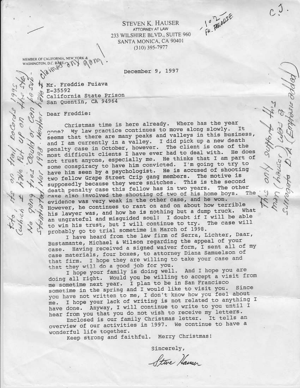FR. PERRITE

 $0.3$ .

**STEVEN K. HAUSER** ATTORNEY AT LAW 233 WILSHIRE BLVD., SUITE 960 SANTA MONICA, CA 90401  $(310)$  395-7977

MEMBER OF CALIFORNIA, NEW YORK & WASHINGTON D.C. BASE 2 RY 90M9

December 9, 1997

N Mr. Freddie Fuiava  $P^{-35592}$ California State Prison San Quentin, CA 94964

Dear Freddie:

frail escords 1995

one

 $\mathcal{O}$ 

Cloch.

 $\sigma$ 

 $\circ$ 

Christmas time is here already. Where has the year gone? My law practice continues to move along slowly. It seems that there are many peaks and valleys in this business, and I am currently in a valley. I did pick up a new death The client is one of the penalty case in October, however. most difficult clients I have ever had to deal with. He does not trust anyone, especially me. He thinks that I am part of some conspiracy to have him convicted. I'm going to try to have him seen by a psychologist. He is accused of shooting two fellow Grape Street Crip gang members. The motive is supposedly because they were snitches. This is the second death penalty case this fellow has in two years. The other case also involved the shooting of two of his home boys. The Nevidence was very weak in the other case, and he won. However, he continues to rant on and on about how terrible his lawyer was, and how he is nothing but a dump truck. What an ungrateful and misguided soul! I doubt if I will be able to win his trust, but I will continue to try. The case will probably go to trial sometime in March of 1998.

I have heard from the law firm of Serra, Lichter, Daar, Bustamante, Michael & Wilson regarding the appeal of your case. Having received a signed waiver form, I sent all of my case materials, four boxes, to attorney Diana Samuelson of that firm. I hope they are willing to take your case and that they will do a good job for you.

I hope your family is doing well. And I hope you are doing all right. Would you be willing to accept a visit from me sometime next year. I plan to be in San Francisco sometime in the spring and I would like to visit you. Since you have not written to me, I don't know how you feel about I hope your lack of writing is not related to anything I me. have done. Anyway, I will continue to write to you until I hear from you that you do not wish to receive my letters.

Enclosed is our family Christmas letter. It tells an overview of our activities in 1997. We continue to have a wonderful life together.

Keep strong and faithful. Merry Christmas!

Sincerely,

Steve Hausen